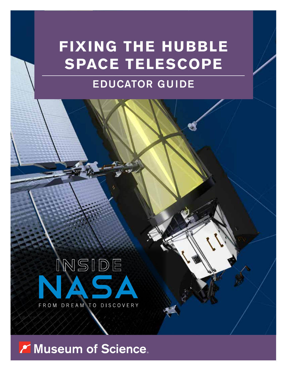# **FIXING THE HUBBLE SPACE TELESCOPE**

# EDUCATOR GUIDE



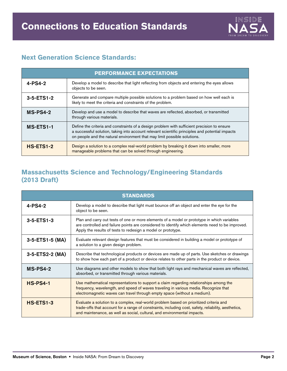

# **Next Generation Science Standards:**

| <b>PERFORMANCE EXPECTATIONS</b> |                                                                                                                                                                                                                                                                            |  |
|---------------------------------|----------------------------------------------------------------------------------------------------------------------------------------------------------------------------------------------------------------------------------------------------------------------------|--|
| $4-PS4-2$                       | Develop a model to describe that light reflecting from objects and entering the eyes allows<br>objects to be seen.                                                                                                                                                         |  |
| $3 - 5 - ETS1 - 2$              | Generate and compare multiple possible solutions to a problem based on how well each is<br>likely to meet the criteria and constraints of the problem.                                                                                                                     |  |
| $MS-PS4-2$                      | Develop and use a model to describe that waves are reflected, absorbed, or transmitted<br>through various materials.                                                                                                                                                       |  |
| MS-ETS1-1                       | Define the criteria and constraints of a design problem with sufficient precision to ensure<br>a successful solution, taking into account relevant scientific principles and potential impacts<br>on people and the natural environment that may limit possible solutions. |  |
| <b>HS-ETS1-2</b>                | Design a solution to a complex real-world problem by breaking it down into smaller, more<br>manageable problems that can be solved through engineering.                                                                                                                    |  |

# **Massachusetts Science and Technology/Engineering Standards (2013 Draft)**

| <b>STANDARDS</b>   |                                                                                                                                                                                                                                                                            |  |
|--------------------|----------------------------------------------------------------------------------------------------------------------------------------------------------------------------------------------------------------------------------------------------------------------------|--|
| $4 - PS4 - 2$      | Develop a model to describe that light must bounce off an object and enter the eye for the<br>object to be seen.                                                                                                                                                           |  |
| $3 - 5 - ETS1 - 3$ | Plan and carry out tests of one or more elements of a model or prototype in which variables<br>are controlled and failure points are considered to identify which elements need to be improved.<br>Apply the results of tests to redesign a model or prototype.            |  |
| 3-5-ETS1-5 (MA)    | Evaluate relevant design features that must be considered in building a model or prototype of<br>a solution to a given design problem.                                                                                                                                     |  |
| 3-5-ETS2-2 (MA)    | Describe that technological products or devices are made up of parts. Use sketches or drawings<br>to show how each part of a product or device relates to other parts in the product or device.                                                                            |  |
| $MS-PS4-2$         | Use diagrams and other models to show that both light rays and mechanical waves are reflected,<br>absorbed, or transmitted through various materials.                                                                                                                      |  |
| <b>HS-PS4-1</b>    | Use mathematical representations to support a claim regarding relationships among the<br>frequency, wavelength, and speed of waves traveling in various media. Recognize that<br>electromagnetic waves can travel through empty space (without a medium).                  |  |
| <b>HS-ETS1-3</b>   | Evaluate a solution to a complex, real-world problem based on prioritized criteria and<br>trade-offs that account for a range of constraints, including cost, safety, reliability, aesthetics,<br>and maintenance, as well as social, cultural, and environmental impacts. |  |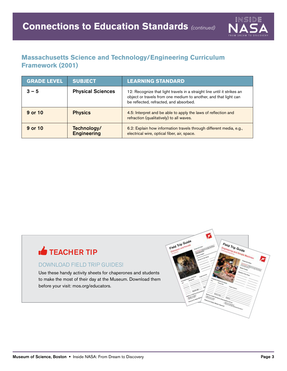

# **Massachusetts Science and Technology/Engineering Curriculum Framework (2001)**

| <b>GRADE LEVEL</b> | <b>SUBJECT</b>                    | <b>LEARNING STANDARD</b>                                                                                                                                                              |
|--------------------|-----------------------------------|---------------------------------------------------------------------------------------------------------------------------------------------------------------------------------------|
| $3 - 5$            | <b>Physical Sciences</b>          | 12: Recognize that light travels in a straight line until it strikes an<br>object or travels from one medium to another, and that light can<br>be reflected, refracted, and absorbed. |
| 9 or 10            | <b>Physics</b>                    | 4.5: Interpret and be able to apply the laws of reflection and<br>refraction (qualitatively) to all waves.                                                                            |
| 9 or 10            | Technology/<br><b>Engineering</b> | 6.2: Explain how information travels through different media, e.g.,<br>electrical wire, optical fiber, air, space.                                                                    |

# **TEACHER TIP**

### DOWNLOAD FIELD TRIP GUIDES!

Use these handy activity sheets for chaperones and students to make the most of their day at the Museum. Download them before your visit: mos.org/educators.

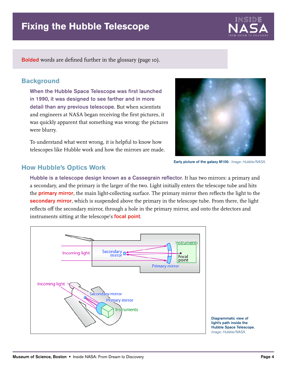

Bolded words are defined further in the glossary (page 10).

# **Background**

When the Hubble Space Telescope was first launched in 1990, it was designed to see farther and in more detail than any previous telescope. But when scientists and engineers at NASA began receiving the first pictures, it was quickly apparent that something was wrong: the pictures were blurry.



To understand what went wrong, it is helpful to know how telescopes like Hubble work and how the mirrors are made.

Early picture of the galaxy M100. Image: Hubble/NASA.

# **How Hubble's Optics Work**

Hubble is a telescope design known as a Cassegrain reflector. It has two mirrors: a primary and a secondary, and the primary is the larger of the two. Light initially enters the telescope tube and hits the **primary mirror**, the main light-collecting surface. The primary mirror then reflects the light to the secondary mirror, which is suspended above the primary in the telescope tube. From there, the light reflects off the secondary mirror, through a hole in the primary mirror, and onto the detectors and instruments sitting at the telescope's **focal point**.

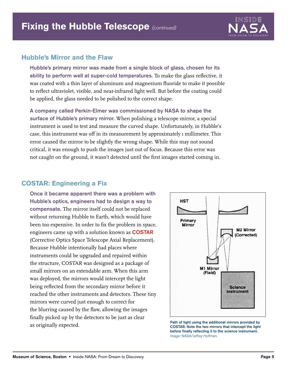

### **Hubble's Mirror and the Flaw**

Hubble's primary mirror was made from a single block of glass, chosen for its ability to perform well at super-cold temperatures. To make the glass reflective, it was coated with a thin layer of aluminum and magnesium fluoride to make it possible to reflect ultraviolet, visible, and near-infrared light well. But before the coating could be applied, the glass needed to be polished to the correct shape.

A company called Perkin-Elmer was commissioned by NASA to shape the surface of Hubble's primary mirror. When polishing a telescope mirror, a special instrument is used to test and measure the curved shape. Unfortunately, in Hubble's case, this instrument was off in its measurement by approximately 1 millimeter. This error caused the mirror to be slightly the wrong shape. While this may not sound critical, it was enough to push the images just out of focus. Because this error was not caught on the ground, it wasn't detected until the first images started coming in.

# **COSTAR: Engineering a Fix**

Once it became apparent there was a problem with Hubble's optics, engineers had to design a way to compensate. The mirror itself could not be replaced without returning Hubble to Earth, which would have been too expensive. In order to fix the problem in space, engineers came up with a solution known as COSTAR (Corrective Optics Space Telescope Axial Replacement). Because Hubble intentionally had places where instruments could be upgraded and repaired within the structure, COSTAR was designed as a package of small mirrors on an extendable arm. When this arm was deployed, the mirrors would intercept the light being reflected from the secondary mirror before it reached the other instruments and detectors. These tiny mirrors were curved just enough to correct for the blurring caused by the flaw, allowing the images finally picked up by the detectors to be just as clear as originally expected. The state of the additional mirrors provided by and of light using the additional mirrors provided by and some costare. Note the two mirrors that intercept the light



before finally reflecting it to the science instrument. Image: NASA/Jeffrey Hoffman.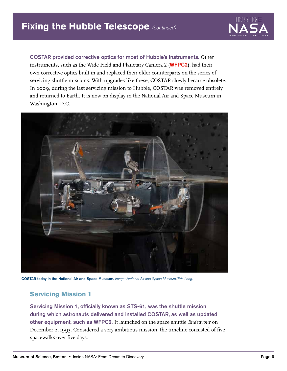

COSTAR provided corrective optics for most of Hubble's instruments. Other instruments, such as the Wide Field and Planetary Camera 2 (WFPC2), had their own corrective optics built in and replaced their older counterparts on the series of servicing shuttle missions. With upgrades like these, COSTAR slowly became obsolete. In 2009, during the last servicing mission to Hubble, COSTAR was removed entirely and returned to Earth. It is now on display in the National Air and Space Museum in Washington, D.C.



COSTAR today in the National Air and Space Museum. Image: National Air and Space Museum/Eric Long.

# **Servicing Mission 1**

Servicing Mission 1, officially known as STS-61, was the shuttle mission during which astronauts delivered and installed COSTAR, as well as updated other equipment, such as WFPC2. It launched on the space shuttle *Endeavour* on December 2, 1993. Considered a very ambitious mission, the timeline consisted of five spacewalks over five days.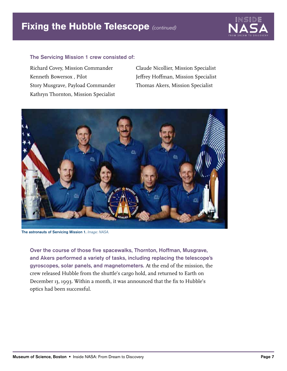

#### The Servicing Mission 1 crew consisted of:

Richard Covey, Mission Commander Kenneth Bowersox , Pilot Story Musgrave, Payload Commander Kathryn Thornton, Mission Specialist Claude Nicollier, Mission Specialist Jeffrey Hoffman, Mission Specialist Thomas Akers, Mission Specialist



The astronauts of Servicing Mission 1. Image: NASA.

Over the course of those five spacewalks, Thornton, Hoffman, Musgrave, and Akers performed a variety of tasks, including replacing the telescope's gyroscopes, solar panels, and magnetometers. At the end of the mission, the crew released Hubble from the shuttle's cargo hold, and returned to Earth on December 13, 1993. Within a month, it was announced that the fix to Hubble's optics had been successful.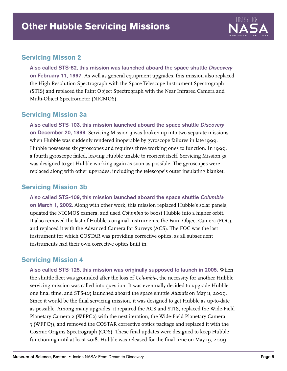

# **Servicing Misson 2**

Also called STS-82, this mission was launched aboard the space shuttle Discovery on February 11, 1997. As well as general equipment upgrades, this mission also replaced the High Resolution Spectrograph with the Space Telescope Instrument Spectrograph (STIS) and replaced the Faint Object Spectrograph with the Near Infrared Camera and Multi-Object Spectrometer (NICMOS).

# **Servicing Mission 3a**

Also called STS-103, this mission launched aboard the space shuttle Discovery on December 20, 1999. Servicing Mission 3 was broken up into two separate missions when Hubble was suddenly rendered inoperable by gyroscope failures in late 1999. Hubble possesses six gyroscopes and requires three working ones to function. In 1999, a fourth gyroscope failed, leaving Hubble unable to reorient itself. Servicing Mission 3a was designed to get Hubble working again as soon as possible. The gyroscopes were replaced along with other upgrades, including the telescope's outer insulating blanket.

# **Servicing Mission 3b**

Also called STS-109, this mission launched aboard the space shuttle Columbia on March 1, 2002. Along with other work, this mission replaced Hubble's solar panels, updated the NICMOS camera, and used *Columbia* to boost Hubble into a higher orbit. It also removed the last of Hubble's original instruments, the Faint Object Camera (FOC), and replaced it with the Advanced Camera for Surveys (ACS). The FOC was the last instrument for which COSTAR was providing corrective optics, as all subsequent instruments had their own corrective optics built in.

# **Servicing Mission 4**

Also called STS-125, this mission was originally supposed to launch in 2005. When the shuttle fleet was grounded after the loss of *Columbia*, the necessity for another Hubble servicing mission was called into question. It was eventually decided to upgrade Hubble one final time, and STS-125 launched aboard the space shuttle *Atlantis* on May 11, 2009. Since it would be the final servicing mission, it was designed to get Hubble as up-to-date as possible. Among many upgrades, it repaired the ACS and STIS, replaced the Wide-Field Planetary Camera 2 (WFPC2) with the next iteration, the Wide-Field Planetary Camera 3 (WFPC3), and removed the COSTAR corrective optics package and replaced it with the Cosmic Origins Spectrograph (COS). These final updates were designed to keep Hubble functioning until at least 2018. Hubble was released for the final time on May 19, 2009.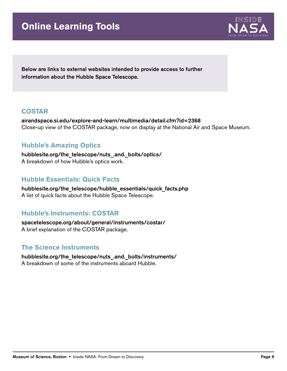# **Online Learning Tools**



Below are links to external websites intended to provide access to further information about the Hubble Space Telescope.

### **COSTAR**

[airandspace.si.edu/explore-and-learn/multimedia/detail.cfm?id=2368](www.airandspace.si.edu/explore-and-learn/multimedia/detail.cfm?id=2368) Close-up view of the COSTAR package, now on display at the National Air and Space Museum.

# **Hubble's Amazing Optics**

hubblesite.org/the\_telescope/nuts .and. bolts/optics/ A breakdown of how Hubble's optics work.

# **Hubble Essentials: Quick Facts**

[hubblesite.org/the\\_telescope/hubble\\_essentials/quick\\_facts.php](www.hubblesite.org/the_telescope/hubble_essentials/quick_facts.php) A list of quick facts about the Hubble Space Telescope.

# **Hubble's Instruments: COSTAR**

[spacetelescope.org/about/general/instruments/costar/](www.spacetelescope.org/about/general/instruments/costar/) A brief explanation of the COSTAR package.

# **The Science Instruments**

[hubblesite.org/the\\_telescope/nuts\\_.and.\\_bolts/instruments/](www.hubblesite.org/the_telescope/nuts_.and._bolts/instruments/) A breakdown of some of the instruments aboard Hubble.